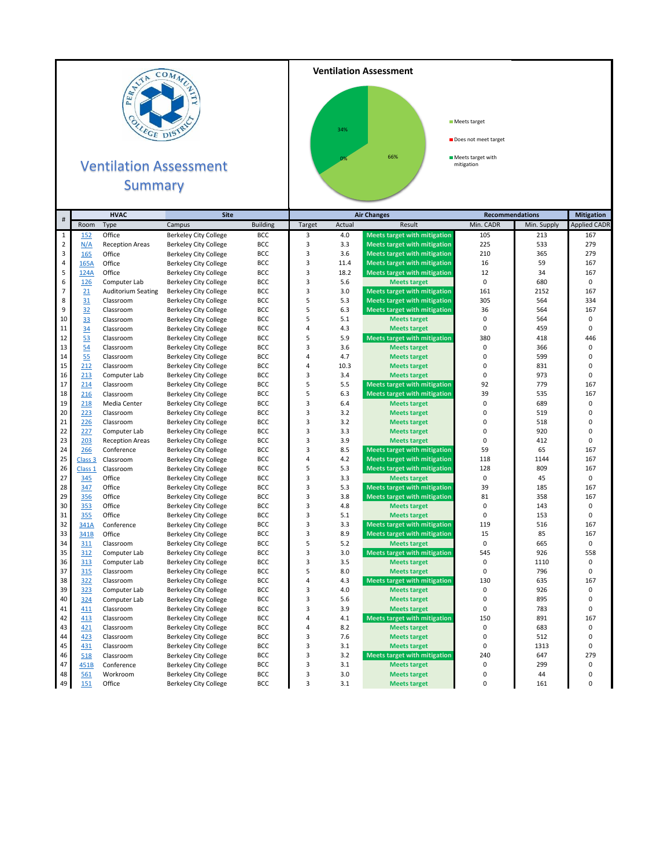

## **Ventilation Assessment** Summary



## Meets target

Does not meet target

**Meets target with**<br>mitigation

|                         |                    | <b>HVAC</b><br><b>Site</b> |                                                              | <b>Air Changes</b>       |                                  |            | <b>Recommendations</b>                                     |                | <b>Mitigation</b> |                     |
|-------------------------|--------------------|----------------------------|--------------------------------------------------------------|--------------------------|----------------------------------|------------|------------------------------------------------------------|----------------|-------------------|---------------------|
| $\#$                    | Room               | Type                       | Campus                                                       | <b>Building</b>          | Target                           | Actual     | Result                                                     | Min. CADR      | Min. Supply       | <b>Applied CADR</b> |
| $\mathbf 1$             | 152                | Office                     | <b>Berkeley City College</b>                                 | BCC                      | 3                                | 4.0        | <b>Meets target with mitigation</b>                        | 105            | 213               | 167                 |
| $\overline{2}$          | N/A                | <b>Reception Areas</b>     | <b>Berkeley City College</b>                                 | BCC                      | 3                                | 3.3        | <b>Meets target with mitigation</b>                        | 225            | 533               | 279                 |
| 3                       | 165                | Office                     | <b>Berkeley City College</b>                                 | <b>BCC</b>               | 3                                | 3.6        | <b>Meets target with mitigation</b>                        | 210            | 365               | 279                 |
| $\overline{\mathbf{4}}$ | 165A               | Office                     | <b>Berkeley City College</b>                                 | BCC                      | 3                                | 11.4       | <b>Meets target with mitigation</b>                        | 16             | 59                | 167                 |
| 5                       | 124A               | Office                     | <b>Berkeley City College</b>                                 | <b>BCC</b>               | $\overline{3}$                   | 18.2       | <b>Meets target with mitigation</b>                        | 12             | 34                | 167                 |
| 6                       | 126                | Computer Lab               | <b>Berkeley City College</b>                                 | <b>BCC</b>               | 3                                | 5.6        | <b>Meets target</b>                                        | 0              | 680               | $\pmb{0}$           |
| $\overline{7}$          | 21                 | <b>Auditorium Seating</b>  | <b>Berkeley City College</b>                                 | <b>BCC</b>               | 3                                | 3.0        | <b>Meets target with mitigation</b>                        | 161            | 2152              | 167                 |
| 8                       | 31                 | Classroom                  | <b>Berkeley City College</b>                                 | <b>BCC</b>               | 5                                | 5.3        | <b>Meets target with mitigation</b>                        | 305            | 564               | 334                 |
| 9                       | 32                 | Classroom                  | <b>Berkeley City College</b>                                 | BCC                      | 5                                | 6.3        | <b>Meets target with mitigation</b>                        | 36             | 564               | 167                 |
| 10                      | 33                 | Classroom                  | <b>Berkeley City College</b>                                 | <b>BCC</b>               | 5                                | 5.1        | <b>Meets target</b>                                        | 0              | 564               | 0                   |
| 11                      | 34                 | Classroom                  | <b>Berkeley City College</b>                                 | <b>BCC</b>               | $\overline{4}$                   | 4.3        | <b>Meets target</b>                                        | 0              | 459               | $\pmb{0}$           |
| 12                      | 53                 | Classroom                  | <b>Berkeley City College</b>                                 | <b>BCC</b>               | 5                                | 5.9        | <b>Meets target with mitigation</b>                        | 380            | 418               | 446                 |
| 13                      | 54                 | Classroom                  | <b>Berkeley City College</b>                                 | <b>BCC</b>               | 3                                | 3.6        | <b>Meets target</b>                                        | 0              | 366               | $\pmb{0}$           |
| 14                      | 55                 | Classroom                  | <b>Berkeley City College</b>                                 | BCC                      | 4                                | 4.7        | <b>Meets target</b>                                        | 0              | 599               | $\pmb{0}$           |
| 15                      | 212                | Classroom                  | <b>Berkeley City College</b>                                 | <b>BCC</b>               | 4                                | 10.3       | <b>Meets target</b>                                        | 0              | 831               | $\mathbf 0$         |
| 16                      | 213                | Computer Lab               | <b>Berkeley City College</b>                                 | BCC                      | 3                                | 3.4        | <b>Meets target</b>                                        | 0              | 973               | 0                   |
| 17                      | 214                | Classroom                  | <b>Berkeley City College</b>                                 | <b>BCC</b>               | 5                                | 5.5        | <b>Meets target with mitigation</b>                        | 92             | 779               | 167                 |
| 18                      | 216                | Classroom                  | <b>Berkeley City College</b>                                 | <b>BCC</b>               | 5                                | 6.3        | <b>Meets target with mitigation</b>                        | 39             | 535               | 167                 |
| 19                      | 218                | Media Center               | <b>Berkeley City College</b>                                 | <b>BCC</b>               | 3                                | 6.4        | <b>Meets target</b>                                        | 0              | 689               | $\pmb{0}$           |
| 20                      | 223                | Classroom                  | <b>Berkeley City College</b>                                 | <b>BCC</b>               | 3                                | 3.2        | <b>Meets target</b>                                        | 0              | 519               | $\mathbf 0$         |
| 21                      | 226                | Classroom                  | <b>Berkeley City College</b>                                 | BCC                      | 3                                | 3.2        | <b>Meets target</b>                                        | 0              | 518               | $\mathbf 0$         |
| 22                      | 227                | Computer Lab               | <b>Berkeley City College</b>                                 | <b>BCC</b>               | 3                                | 3.3        | <b>Meets target</b>                                        | 0              | 920               | $\mathbf 0$         |
| 23                      | 203                | <b>Reception Areas</b>     | <b>Berkeley City College</b>                                 | <b>BCC</b>               | 3                                | 3.9        | <b>Meets target</b>                                        | 0              | 412               | $\pmb{0}$           |
| 24                      | 266                | Conference                 | <b>Berkeley City College</b>                                 | <b>BCC</b>               | 3                                | 8.5        | <b>Meets target with mitigation</b>                        | 59             | 65                | 167                 |
| 25                      | Class <sub>3</sub> | Classroom                  | <b>Berkeley City College</b>                                 | BCC                      | 4                                | 4.2        | <b>Meets target with mitigation</b>                        | 118            | 1144              | 167                 |
| 26                      | Class 1            | Classroom                  | <b>Berkeley City College</b>                                 | BCC                      | 5                                | 5.3        | <b>Meets target with mitigation</b>                        | 128            | 809               | 167                 |
| 27                      | 345                | Office                     | <b>Berkeley City College</b>                                 | <b>BCC</b>               | 3                                | 3.3        | <b>Meets target</b>                                        | 0              | 45                | 0                   |
| 28                      | 347                | Office                     | <b>Berkeley City College</b>                                 | <b>BCC</b>               | 3                                | 5.3        | <b>Meets target with mitigation</b>                        | 39             | 185               | 167                 |
| 29                      | 356                | Office                     | <b>Berkeley City College</b>                                 | <b>BCC</b>               | 3                                | 3.8        | <b>Meets target with mitigation</b>                        | 81             | 358               | 167                 |
| 30                      | 353                | Office                     | <b>Berkeley City College</b>                                 | <b>BCC</b>               | 3                                | 4.8        | <b>Meets target</b>                                        | 0              | 143               | $\pmb{0}$           |
| 31                      | 355                | Office                     | <b>Berkeley City College</b>                                 | BCC                      | 3                                | 5.1        | <b>Meets target</b>                                        | 0              | 153               | $\mathbf 0$         |
| 32                      | 341A               | Conference                 | <b>Berkeley City College</b>                                 | <b>BCC</b>               | 3                                | 3.3        | <b>Meets target with mitigation</b>                        | 119            | 516               | 167                 |
| 33                      | 341B               | Office                     | <b>Berkeley City College</b>                                 | BCC                      | 3                                | 8.9        | <b>Meets target with mitigation</b>                        | 15             | 85                | 167                 |
| 34                      | 311                | Classroom                  | <b>Berkeley City College</b>                                 | <b>BCC</b>               | 5                                | 5.2        | <b>Meets target</b>                                        | 0              | 665               | $\mathbf 0$         |
| 35                      | 312                | Computer Lab               | <b>Berkeley City College</b>                                 | <b>BCC</b>               | 3                                | 3.0        | <b>Meets target with mitigation</b>                        | 545            | 926               | 558                 |
| 36                      | 313                | Computer Lab               | <b>Berkeley City College</b>                                 | <b>BCC</b>               | 3                                | 3.5        | <b>Meets target</b>                                        | 0              | 1110              | 0<br>$\pmb{0}$      |
| 37                      | 315                | Classroom                  | <b>Berkeley City College</b>                                 | BCC                      | 5                                | 8.0        | <b>Meets target</b>                                        | 0              | 796               |                     |
| 38<br>39                | 322                | Classroom                  | <b>Berkeley City College</b>                                 | <b>BCC</b>               | $\overline{4}$<br>$\overline{3}$ | 4.3<br>4.0 | <b>Meets target with mitigation</b>                        | 130<br>0       | 635               | 167<br>$\mathbf 0$  |
| 40                      | 323                | Computer Lab               | <b>Berkeley City College</b>                                 | <b>BCC</b>               | $\overline{3}$                   |            | <b>Meets target</b>                                        |                | 926               | $\pmb{0}$           |
| 41                      | 324                | Computer Lab               | <b>Berkeley City College</b>                                 | BCC                      | 3                                | 5.6<br>3.9 | <b>Meets target</b>                                        | $\pmb{0}$<br>0 | 895<br>783        | $\mathbf 0$         |
| 42                      | 411                | Classroom                  | <b>Berkeley City College</b>                                 | <b>BCC</b>               | 4                                | 4.1        | <b>Meets target</b>                                        | 150            |                   | 167                 |
| 43                      | 413<br>421         | Classroom                  | <b>Berkeley City College</b>                                 | <b>BCC</b><br><b>BCC</b> | 4                                | 8.2        | <b>Meets target with mitigation</b><br><b>Meets target</b> | 0              | 891<br>683        | $\pmb{0}$           |
| 44                      | 423                | Classroom<br>Classroom     | <b>Berkeley City College</b>                                 | BCC                      | 3                                | 7.6        |                                                            | 0              | 512               | 0                   |
| 45                      |                    | Classroom                  | <b>Berkeley City College</b>                                 | <b>BCC</b>               | 3                                | 3.1        | <b>Meets target</b>                                        | 0              | 1313              | $\mathbf 0$         |
| 46                      | 431<br>518         | Classroom                  | <b>Berkeley City College</b>                                 | <b>BCC</b>               | $\overline{3}$                   | 3.2        | <b>Meets target</b>                                        | 240            | 647               | 279                 |
| 47                      | 451B               | Conference                 | <b>Berkeley City College</b>                                 | <b>BCC</b>               | 3                                | 3.1        | <b>Meets target with mitigation</b><br><b>Meets target</b> | 0              | 299               | $\pmb{0}$           |
| 48                      | 561                | Workroom                   | <b>Berkeley City College</b><br><b>Berkeley City College</b> | BCC                      | 3                                | 3.0        | <b>Meets target</b>                                        | 0              | 44                | 0                   |
| 49                      | 151                | Office                     | <b>Berkeley City College</b>                                 | <b>BCC</b>               | 3                                | 3.1        | <b>Meets target</b>                                        | 0              | 161               | $\Omega$            |
|                         |                    |                            |                                                              |                          |                                  |            |                                                            |                |                   |                     |

**Ventilation Assessment**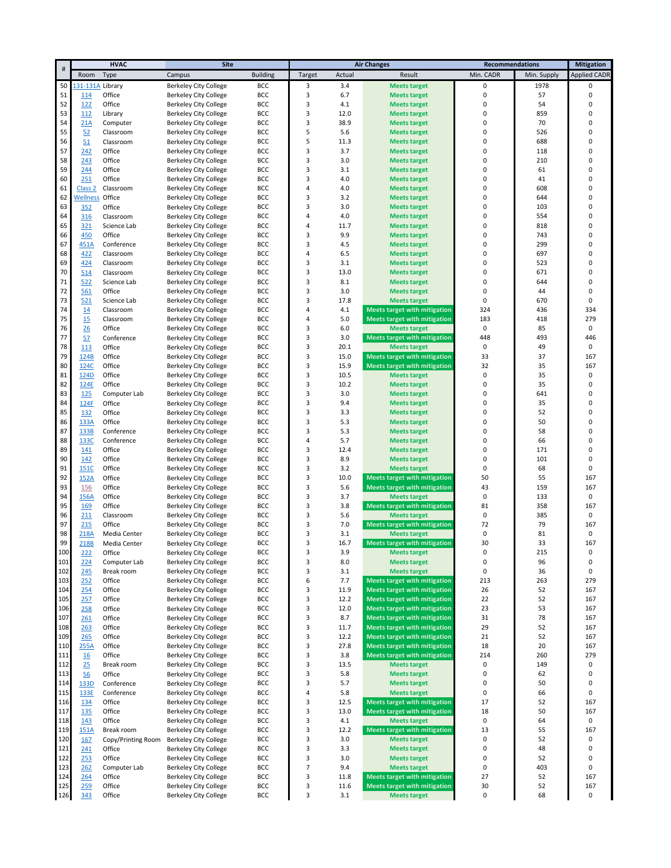|     | <b>HVAC</b><br><b>Site</b> |                    |                              |                 |                          | <b>Air Changes</b> | <b>Recommendations</b>              |             | <b>Mitigation</b> |                     |
|-----|----------------------------|--------------------|------------------------------|-----------------|--------------------------|--------------------|-------------------------------------|-------------|-------------------|---------------------|
| #   | Room                       | Type               | Campus                       | <b>Building</b> | Target                   | Actual             | Result                              | Min. CADR   | Min. Supply       | <b>Applied CADR</b> |
| 50  | 131-131A                   | Library            | Berkeley City College        | <b>BCC</b>      | 3                        | 3.4                | <b>Meets target</b>                 | 0           | 1978              | 0                   |
| 51  | 114                        | Office             | Berkeley City College        | BCC             | 3                        | 6.7                | <b>Meets target</b>                 | 0           | 57                | 0                   |
| 52  | 122                        | Office             | <b>Berkeley City College</b> | <b>BCC</b>      | 3                        | 4.1                | <b>Meets target</b>                 | 0           | 54                | 0                   |
| 53  | 112                        | Library            | <b>Berkeley City College</b> | BCC             | 3                        | 12.0               | <b>Meets target</b>                 | 0           | 859               | 0                   |
| 54  | 21A                        | Computer           | <b>Berkeley City College</b> | BCC             | 3                        | 38.9               | <b>Meets target</b>                 | 0           | 70                | 0                   |
| 55  | 52                         | Classroom          | <b>Berkeley City College</b> | BCC             | 5                        | 5.6                | <b>Meets target</b>                 | 0           | 526               | 0                   |
| 56  |                            | Classroom          |                              | <b>BCC</b>      | 5                        | 11.3               |                                     | 0           | 688               | 0                   |
| 57  | 51                         | Office             | <b>Berkeley City College</b> |                 | 3                        | 3.7                | <b>Meets target</b>                 | 0           | 118               | 0                   |
|     | 242                        |                    | <b>Berkeley City College</b> | BCC             |                          |                    | <b>Meets target</b>                 |             |                   | 0                   |
| 58  | 243                        | Office             | Berkeley City College        | BCC             | 3                        | 3.0                | <b>Meets target</b>                 | 0           | 210               |                     |
| 59  | 244                        | Office             | <b>Berkeley City College</b> | <b>BCC</b>      | 3                        | 3.1                | <b>Meets target</b>                 | 0           | 61                | 0                   |
| 60  | 251                        | Office             | <b>Berkeley City College</b> | BCC             | 3                        | 4.0                | <b>Meets target</b>                 | 0           | 41                | 0                   |
| 61  | Class <sub>2</sub>         | Classroom          | Berkeley City College        | BCC             | 4                        | 4.0                | <b>Meets target</b>                 | 0           | 608               | 0                   |
| 62  | Wellness                   | Office             | <b>Berkeley City College</b> | <b>BCC</b>      | 3                        | 3.2                | <b>Meets target</b>                 | 0           | 644               | 0                   |
| 63  | 352                        | Office             | <b>Berkeley City College</b> | BCC             | 3                        | 3.0                | <b>Meets target</b>                 | 0           | 103               | 0                   |
| 64  | 316                        | Classroom          | <b>Berkeley City College</b> | BCC             | 4                        | 4.0                | <b>Meets target</b>                 | 0           | 554               | 0                   |
| 65  | 321                        | Science Lab        | Berkeley City College        | <b>BCC</b>      | 4                        | 11.7               | <b>Meets target</b>                 | 0           | 818               | 0                   |
| 66  | 450                        | Office             | <b>Berkeley City College</b> | <b>BCC</b>      | 3                        | 9.9                | <b>Meets target</b>                 | 0           | 743               | 0                   |
| 67  | 451A                       | Conference         | <b>Berkeley City College</b> | BCC             | 3                        | 4.5                | <b>Meets target</b>                 | 0           | 299               | 0                   |
| 68  | 422                        | Classroom          | <b>Berkeley City College</b> | BCC             | 4                        | 6.5                | <b>Meets target</b>                 | 0           | 697               | 0                   |
| 69  | 424                        | Classroom          | <b>Berkeley City College</b> | BCC             | 3                        | 3.1                | <b>Meets target</b>                 | 0           | 523               | 0                   |
| 70  | 514                        | Classroom          | <b>Berkeley City College</b> | BCC             | 3                        | 13.0               | <b>Meets target</b>                 | 0           | 671               | 0                   |
| 71  | 522                        | Science Lab        | <b>Berkeley City College</b> | <b>BCC</b>      | 3                        | 8.1                | <b>Meets target</b>                 | 0           | 644               | 0                   |
| 72  | 561                        | Office             | <b>Berkeley City College</b> | BCC             | 3                        | 3.0                | <b>Meets target</b>                 | 0           | 44                | 0                   |
| 73  | 521                        | Science Lab        | <b>Berkeley City College</b> | BCC             | 3                        | 17.8               | <b>Meets target</b>                 | 0           | 670               | 0                   |
| 74  | 14                         | Classroom          | <b>Berkeley City College</b> | <b>BCC</b>      | 4                        | 4.1                | <b>Meets target with mitigation</b> | 324         | 436               | 334                 |
| 75  | 15                         | Classroom          | <b>Berkeley City College</b> | BCC             | 4                        | 5.0                | <b>Meets target with mitigation</b> | 183         | 418               | 279                 |
| 76  | $\frac{26}{5}$             | Office             | <b>Berkeley City College</b> | BCC             | 3                        | 6.0                | <b>Meets target</b>                 | $\pmb{0}$   | 85                | 0                   |
| 77  | 57                         | Conference         | <b>Berkeley City College</b> | BCC             | 3                        | 3.0                | <b>Meets target with mitigation</b> | 448         | 493               | 446                 |
| 78  | 113                        | Office             | <b>Berkeley City College</b> | <b>BCC</b>      | 3                        | 20.1               | <b>Meets target</b>                 | $\mathbf 0$ | 49                | 0                   |
| 79  | 124B                       | Office             | <b>Berkeley City College</b> | BCC             | 3                        | 15.0               | <b>Meets target with mitigation</b> | 33          | 37                | 167                 |
| 80  | 124C                       | Office             | Berkeley City College        | BCC             | 3                        | 15.9               | <b>Meets target with mitigation</b> | 32          | 35                | 167                 |
| 81  | 124D                       | Office             | <b>Berkeley City College</b> | <b>BCC</b>      | 3                        | 10.5               | <b>Meets target</b>                 | $\mathbf 0$ | 35                | 0                   |
| 82  | 124E                       | Office             | <b>Berkeley City College</b> | BCC             | 3                        | 10.2               | <b>Meets target</b>                 | 0           | 35                | 0                   |
| 83  | 125                        | Computer Lab       | <b>Berkeley City College</b> | BCC             | 3                        | 3.0                | <b>Meets target</b>                 | 0           | 641               | 0                   |
| 84  | 124F                       | Office             | <b>Berkeley City College</b> | <b>BCC</b>      | 3                        | 9.4                | <b>Meets target</b>                 | 0           | 35                | 0                   |
| 85  | 132                        | Office             | <b>Berkeley City College</b> | BCC             | 3                        | 3.3                | <b>Meets target</b>                 | 0           | 52                | 0                   |
| 86  | 133A                       | Office             | Berkeley City College        | BCC             | 3                        | 5.3                | <b>Meets target</b>                 | 0           | 50                | 0                   |
| 87  | 133B                       | Conference         | <b>Berkeley City College</b> | <b>BCC</b>      | 3                        | 5.3                | <b>Meets target</b>                 | 0           | 58                | 0                   |
| 88  | 133C                       | Conference         |                              |                 | 4                        | 5.7                |                                     | 0           | 66                | 0                   |
| 89  |                            |                    | <b>Berkeley City College</b> | BCC<br>BCC      | 3                        | 12.4               | <b>Meets target</b>                 | 0           | 171               | 0                   |
|     | 141                        | Office             | <b>Berkeley City College</b> |                 |                          |                    | <b>Meets target</b>                 |             |                   |                     |
| 90  | 142                        | Office             | Berkeley City College        | <b>BCC</b>      | 3                        | 8.9                | <b>Meets target</b>                 | 0           | 101               | 0                   |
| 91  | 151C                       | Office             | <b>Berkeley City College</b> | BCC             | 3                        | 3.2                | <b>Meets target</b>                 | 0           | 68                | 0                   |
| 92  | 152A                       | Office             | <b>Berkeley City College</b> | BCC             | 3                        | 10.0               | <b>Meets target with mitigation</b> | 50          | 55                | 167                 |
| 93  | 156                        | Office             | <b>Berkeley City College</b> | <b>BCC</b>      | 3                        | 5.6                | <b>Meets target with mitigation</b> | 43          | 159               | 167                 |
| 94  | 156A                       | Office             | <b>Berkeley City College</b> | <b>BCC</b>      | 3                        | 3.7                | <b>Meets target</b>                 | $\pmb{0}$   | 133               | 0                   |
| 95  | <b>169</b>                 | Office             | <b>Berkeley City College</b> | BCC             | 3                        | 3.8                | <b>Meets target with mitigation</b> | 81          | 358               | 167                 |
| 96  | 211                        | Classroom          | <b>Berkeley City College</b> | BCC             | 3                        | 5.6                | <b>Meets target</b>                 | 0           | 385               | 0                   |
| 97  | 215                        | Office             | <b>Berkeley City College</b> | <b>BCC</b>      | 3                        | 7.0                | <b>Meets target with mitigation</b> | 72          | 79                | 167                 |
| 98  | 218A                       | Media Center       | <b>Berkeley City College</b> | BCC             | 3                        | 3.1                | <b>Meets target</b>                 | 0           | 81                | 0                   |
| 99  | 218B                       | Media Center       | <b>Berkeley City College</b> | BCC             | 3                        | 16.7               | <b>Meets target with mitigation</b> | 30          | 33                | 167                 |
| 100 | 222                        | Office             | <b>Berkeley City College</b> | BCC             | з                        | 3.9                | <b>Meets target</b>                 | 0           | 215               | 0                   |
| 101 | 224                        | Computer Lab       | <b>Berkeley City College</b> | BCC             | 3                        | 8.0                | <b>Meets target</b>                 | 0           | 96                | 0                   |
| 102 | 245                        | Break room         | <b>Berkeley City College</b> | BCC             | 3                        | 3.1                | <b>Meets target</b>                 | 0           | 36                | 0                   |
| 103 | 252                        | Office             | <b>Berkeley City College</b> | BCC             | 6                        | 7.7                | <b>Meets target with mitigation</b> | 213         | 263               | 279                 |
| 104 | 254                        | Office             | <b>Berkeley City College</b> | BCC             | 3                        | 11.9               | <b>Meets target with mitigation</b> | 26          | 52                | 167                 |
| 105 | 257                        | Office             | <b>Berkeley City College</b> | BCC             | 3                        | 12.2               | <b>Meets target with mitigation</b> | 22          | 52                | 167                 |
| 106 | 258                        | Office             | <b>Berkeley City College</b> | BCC             | 3                        | 12.0               | <b>Meets target with mitigation</b> | 23          | 53                | 167                 |
| 107 | 261                        | Office             | <b>Berkeley City College</b> | BCC             | 3                        | 8.7                | <b>Meets target with mitigation</b> | 31          | 78                | 167                 |
| 108 | 263                        | Office             | <b>Berkeley City College</b> | BCC             | 3                        | 11.7               | <b>Meets target with mitigation</b> | 29          | 52                | 167                 |
| 109 | 265                        | Office             | <b>Berkeley City College</b> | BCC             | 3                        | 12.2               | <b>Meets target with mitigation</b> | 21          | 52                | 167                 |
| 110 | 255A                       | Office             | <b>Berkeley City College</b> | BCC             | 3                        | 27.8               | <b>Meets target with mitigation</b> | 18          | 20                | 167                 |
| 111 | <u>16</u>                  | Office             | <b>Berkeley City College</b> | BCC             | 3                        | 3.8                | <b>Meets target with mitigation</b> | 214         | 260               | 279                 |
| 112 | 25                         | Break room         | Berkeley City College        | BCC             | 3                        | 13.5               | <b>Meets target</b>                 | $\pmb{0}$   | 149               | 0                   |
| 113 | 56                         | Office             | <b>Berkeley City College</b> | BCC             | 3                        | 5.8                | <b>Meets target</b>                 | $\pmb{0}$   | 62                | 0                   |
| 114 | 133D                       | Conference         | <b>Berkeley City College</b> | BCC             | 3                        | 5.7                | <b>Meets target</b>                 | $\pmb{0}$   | 50                | 0                   |
| 115 | 133E                       | Conference         | <b>Berkeley City College</b> | BCC             | 4                        | 5.8                | <b>Meets target</b>                 | 0           | 66                | 0                   |
| 116 | 134                        | Office             | <b>Berkeley City College</b> | BCC             | 3                        | 12.5               | <b>Meets target with mitigation</b> | 17          | 52                | 167                 |
| 117 | 135                        | Office             | <b>Berkeley City College</b> | BCC             | 3                        | 13.0               | <b>Meets target with mitigation</b> | 18          | 50                | 167                 |
| 118 | 143                        | Office             | <b>Berkeley City College</b> | BCC             | 3                        | 4.1                | <b>Meets target</b>                 | $\pmb{0}$   | 64                | 0                   |
| 119 | 151A                       | Break room         | <b>Berkeley City College</b> | BCC             | 3                        | 12.2               | <b>Meets target with mitigation</b> | 13          | 55                | 167                 |
| 120 | 167                        | Copy/Printing Room | <b>Berkeley City College</b> | BCC             | 3                        | 3.0                | <b>Meets target</b>                 | 0           | 52                | 0                   |
| 121 | 241                        | Office             | <b>Berkeley City College</b> | BCC             | 3                        | 3.3                | <b>Meets target</b>                 | 0           | 48                | 0                   |
| 122 | 253                        | Office             | <b>Berkeley City College</b> | BCC             | 3                        | 3.0                | <b>Meets target</b>                 | 0           | 52                | 0                   |
| 123 | 262                        | Computer Lab       | <b>Berkeley City College</b> | BCC             | $\overline{\phantom{a}}$ | 9.4                | <b>Meets target</b>                 | 0           | 403               | 0                   |
| 124 | 264                        | Office             | <b>Berkeley City College</b> | BCC             | 3                        | 11.8               | <b>Meets target with mitigation</b> | 27          | 52                | 167                 |
| 125 | 259                        | Office             | <b>Berkeley City College</b> | BCC             | 3                        | 11.6               | <b>Meets target with mitigation</b> | 30          | 52                | 167                 |
| 126 | 343                        | Office             | <b>Berkeley City College</b> | BCC             | 3                        | 3.1                | <b>Meets target</b>                 | 0           | 68                | 0                   |
|     |                            |                    |                              |                 |                          |                    |                                     |             |                   |                     |